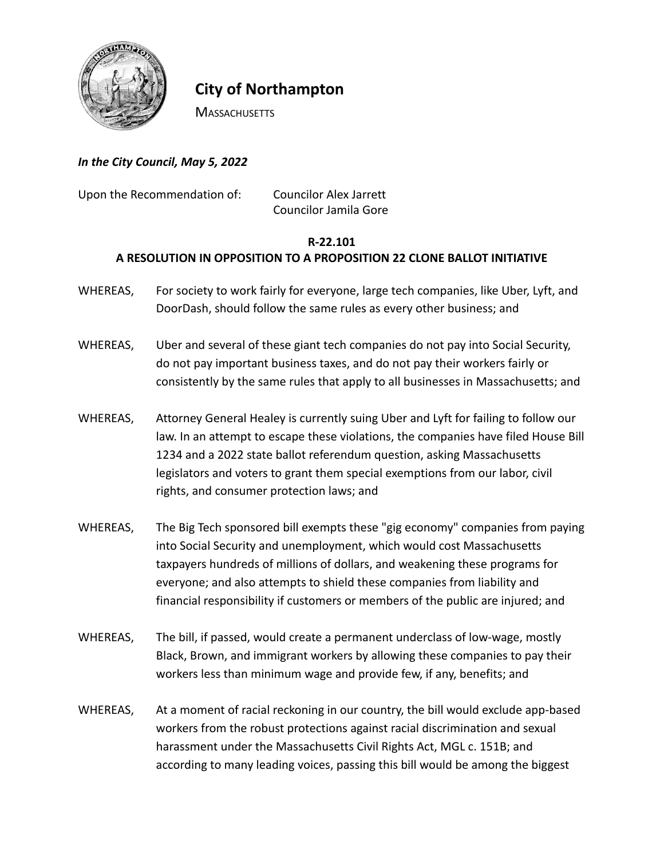

## **City of Northampton**

**MASSACHUSETTS** 

*In the City Council, May 5, 2022*

Upon the Recommendation of: Councilor Alex Jarrett Councilor Jamila Gore

## **R-22.101**

## **A RESOLUTION IN OPPOSITION TO A PROPOSITION 22 CLONE BALLOT INITIATIVE**

- WHEREAS, For society to work fairly for everyone, large tech companies, like Uber, Lyft, and DoorDash, should follow the same rules as every other business; and
- WHEREAS, Uber and several of these giant tech companies do not pay into Social Security, do not pay important business taxes, and do not pay their workers fairly or consistently by the same rules that apply to all businesses in Massachusetts; and
- WHEREAS, Attorney General Healey is currently suing Uber and Lyft for failing to follow our law. In an attempt to escape these violations, the companies have filed House Bill 1234 and a 2022 state ballot referendum question, asking Massachusetts legislators and voters to grant them special exemptions from our labor, civil rights, and consumer protection laws; and
- WHEREAS, The Big Tech sponsored bill exempts these "gig economy" companies from paying into Social Security and unemployment, which would cost Massachusetts taxpayers hundreds of millions of dollars, and weakening these programs for everyone; and also attempts to shield these companies from liability and financial responsibility if customers or members of the public are injured; and
- WHEREAS, The bill, if passed, would create a permanent underclass of low-wage, mostly Black, Brown, and immigrant workers by allowing these companies to pay their workers less than minimum wage and provide few, if any, benefits; and
- WHEREAS, At a moment of racial reckoning in our country, the bill would exclude app-based workers from the robust protections against racial discrimination and sexual harassment under the Massachusetts Civil Rights Act, MGL c. 151B; and according to many leading voices, passing this bill would be among the biggest